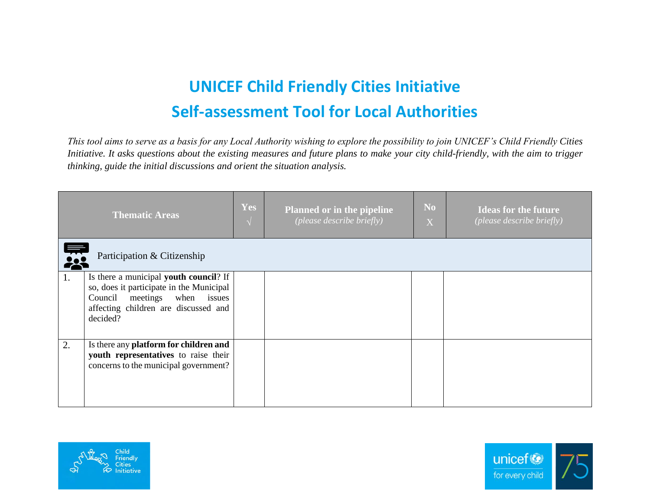## **UNICEF Child Friendly Cities Initiative Self-assessment Tool for Local Authorities**

*This tool aims to serve as a basis for any Local Authority wishing to explore the possibility to join UNICEF's Child Friendly Cities Initiative. It asks questions about the existing measures and future plans to make your city child-friendly, with the aim to trigger thinking, guide the initial discussions and orient the situation analysis.*

|    | <b>Thematic Areas</b>                                                                                                                                                  | <b>Yes</b><br>$\overline{\mathcal{N}}$ | <b>Planned or in the pipeline</b><br>(please describe briefly) | N <sub>o</sub><br>X | <b>Ideas for the future</b><br>(please describe briefly) |  |  |  |
|----|------------------------------------------------------------------------------------------------------------------------------------------------------------------------|----------------------------------------|----------------------------------------------------------------|---------------------|----------------------------------------------------------|--|--|--|
|    | Participation & Citizenship<br>28                                                                                                                                      |                                        |                                                                |                     |                                                          |  |  |  |
| 1. | Is there a municipal youth council? If<br>so, does it participate in the Municipal<br>Council meetings when issues<br>affecting children are discussed and<br>decided? |                                        |                                                                |                     |                                                          |  |  |  |
| 2. | Is there any platform for children and<br>youth representatives to raise their<br>concerns to the municipal government?                                                |                                        |                                                                |                     |                                                          |  |  |  |



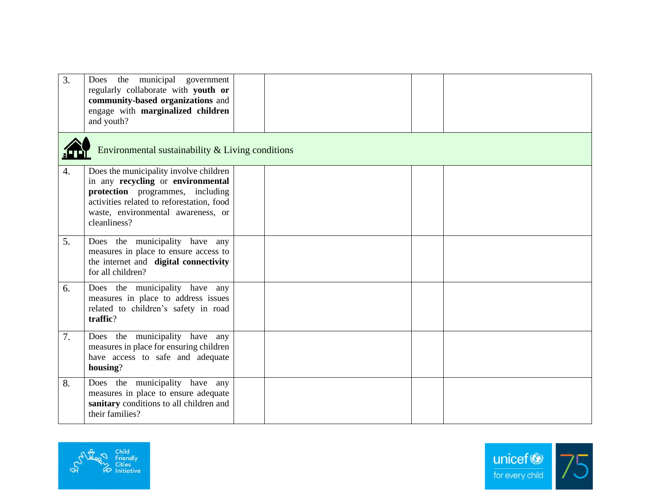| 3. | Does the municipal government<br>regularly collaborate with youth or<br>community-based organizations and<br>engage with marginalized children<br>and youth?                                                       |  |  |  |  |  |  |  |
|----|--------------------------------------------------------------------------------------------------------------------------------------------------------------------------------------------------------------------|--|--|--|--|--|--|--|
|    | Environmental sustainability & Living conditions                                                                                                                                                                   |  |  |  |  |  |  |  |
| 4. | Does the municipality involve children<br>in any recycling or environmental<br>protection programmes, including<br>activities related to reforestation, food<br>waste, environmental awareness, or<br>cleanliness? |  |  |  |  |  |  |  |
| 5. | Does the municipality have any<br>measures in place to ensure access to<br>the internet and digital connectivity<br>for all children?                                                                              |  |  |  |  |  |  |  |
| 6. | Does the municipality have any<br>measures in place to address issues<br>related to children's safety in road<br>traffic?                                                                                          |  |  |  |  |  |  |  |
| 7. | Does the municipality have any<br>measures in place for ensuring children<br>have access to safe and adequate<br>housing?                                                                                          |  |  |  |  |  |  |  |
| 8. | Does the municipality have any<br>measures in place to ensure adequate<br>sanitary conditions to all children and<br>their families?                                                                               |  |  |  |  |  |  |  |



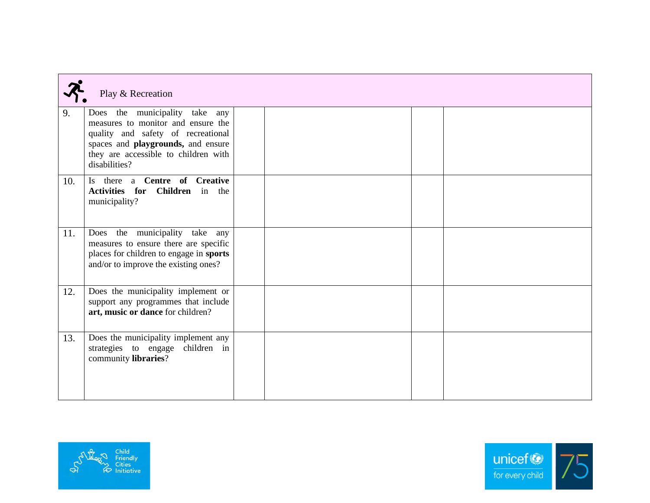|     | Play & Recreation                                                                                                                                                                                         |  |  |  |  |  |
|-----|-----------------------------------------------------------------------------------------------------------------------------------------------------------------------------------------------------------|--|--|--|--|--|
| 9.  | Does the municipality take any<br>measures to monitor and ensure the<br>quality and safety of recreational<br>spaces and playgrounds, and ensure<br>they are accessible to children with<br>disabilities? |  |  |  |  |  |
| 10. | Is there a Centre of Creative<br>Activities for Children in the<br>municipality?                                                                                                                          |  |  |  |  |  |
| 11. | Does the municipality take any<br>measures to ensure there are specific<br>places for children to engage in sports<br>and/or to improve the existing ones?                                                |  |  |  |  |  |
| 12. | Does the municipality implement or<br>support any programmes that include<br>art, music or dance for children?                                                                                            |  |  |  |  |  |
| 13. | Does the municipality implement any<br>strategies to engage children in<br>community libraries?                                                                                                           |  |  |  |  |  |



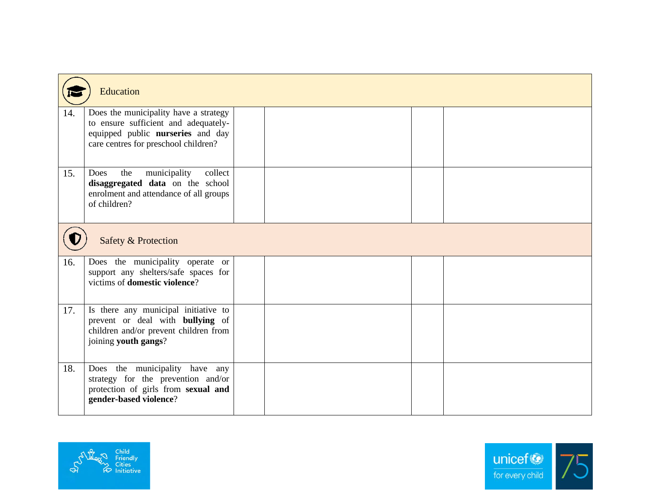|     | <b>Education</b>                                                                                                                                           |  |  |  |  |  |  |
|-----|------------------------------------------------------------------------------------------------------------------------------------------------------------|--|--|--|--|--|--|
| 14. | Does the municipality have a strategy<br>to ensure sufficient and adequately-<br>equipped public nurseries and day<br>care centres for preschool children? |  |  |  |  |  |  |
| 15. | municipality<br>the<br>collect<br>Does<br>disaggregated data on the school<br>enrolment and attendance of all groups<br>of children?                       |  |  |  |  |  |  |
|     | Safety & Protection                                                                                                                                        |  |  |  |  |  |  |
| 16. | Does the municipality operate or<br>support any shelters/safe spaces for<br>victims of <b>domestic violence</b> ?                                          |  |  |  |  |  |  |
| 17. | Is there any municipal initiative to<br>prevent or deal with <b>bullying</b> of<br>children and/or prevent children from<br>joining youth gangs?           |  |  |  |  |  |  |
| 18. | Does the municipality have any<br>strategy for the prevention and/or<br>protection of girls from sexual and<br>gender-based violence?                      |  |  |  |  |  |  |